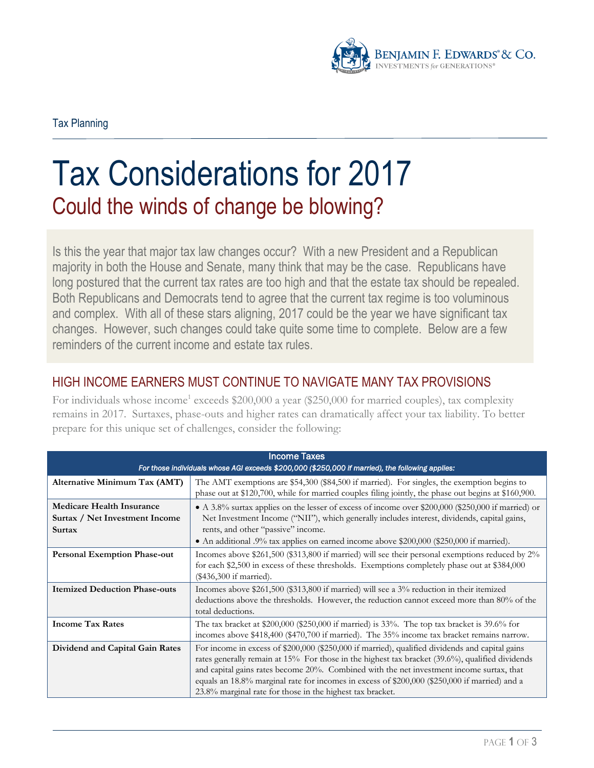

# Tax Considerations for 2017 Could the winds of change be blowing?

Is this the year that major tax law changes occur? With a new President and a Republican majority in both the House and Senate, many think that may be the case. Republicans have long postured that the current tax rates are too high and that the estate tax should be repealed. Both Republicans and Democrats tend to agree that the current tax regime is too voluminous and complex. With all of these stars aligning, 2017 could be the year we have significant tax changes. However, such changes could take quite some time to complete. Below are a few reminders of the current income and estate tax rules.

## HIGH INCOME EARNERS MUST CONTINUE TO NAVIGATE MANY TAX PROVISIONS

For individuals whose income<sup>1</sup> exceeds \$200,000 a year (\$250,000 for married couples), tax complexity remains in 2017. Surtaxes, phase-outs and higher rates can dramatically affect your tax liability. To better prepare for this unique set of challenges, consider the following:

| <b>Income Taxes</b><br>For those individuals whose AGI exceeds \$200,000 (\$250,000 if married), the following applies: |                                                                                                                                                                                                                                                                                                                                                                                                                                                              |
|-------------------------------------------------------------------------------------------------------------------------|--------------------------------------------------------------------------------------------------------------------------------------------------------------------------------------------------------------------------------------------------------------------------------------------------------------------------------------------------------------------------------------------------------------------------------------------------------------|
| Alternative Minimum Tax (AMT)                                                                                           | The AMT exemptions are \$54,300 (\$84,500 if married). For singles, the exemption begins to<br>phase out at \$120,700, while for married couples filing jointly, the phase out begins at \$160,900.                                                                                                                                                                                                                                                          |
| <b>Medicare Health Insurance</b><br>Surtax / Net Investment Income<br>Surtax                                            | • A 3.8% surtax applies on the lesser of excess of income over \$200,000 (\$250,000 if married) or<br>Net Investment Income ("NII"), which generally includes interest, dividends, capital gains,<br>rents, and other "passive" income.<br>• An additional .9% tax applies on earned income above \$200,000 (\$250,000 if married).                                                                                                                          |
| <b>Personal Exemption Phase-out</b>                                                                                     | Incomes above \$261,500 (\$313,800 if married) will see their personal exemptions reduced by 2%<br>for each \$2,500 in excess of these thresholds. Exemptions completely phase out at \$384,000<br>(\$436,300 if married).                                                                                                                                                                                                                                   |
| <b>Itemized Deduction Phase-outs</b>                                                                                    | Incomes above \$261,500 (\$313,800 if married) will see a 3% reduction in their itemized<br>deductions above the thresholds. However, the reduction cannot exceed more than 80% of the<br>total deductions.                                                                                                                                                                                                                                                  |
| <b>Income Tax Rates</b>                                                                                                 | The tax bracket at \$200,000 (\$250,000 if married) is 33%. The top tax bracket is 39.6% for<br>incomes above \$418,400 (\$470,700 if married). The 35% income tax bracket remains narrow.                                                                                                                                                                                                                                                                   |
| Dividend and Capital Gain Rates                                                                                         | For income in excess of \$200,000 (\$250,000 if married), qualified dividends and capital gains<br>rates generally remain at 15% For those in the highest tax bracket (39.6%), qualified dividends<br>and capital gains rates become 20%. Combined with the net investment income surtax, that<br>equals an 18.8% marginal rate for incomes in excess of \$200,000 (\$250,000 if married) and a<br>23.8% marginal rate for those in the highest tax bracket. |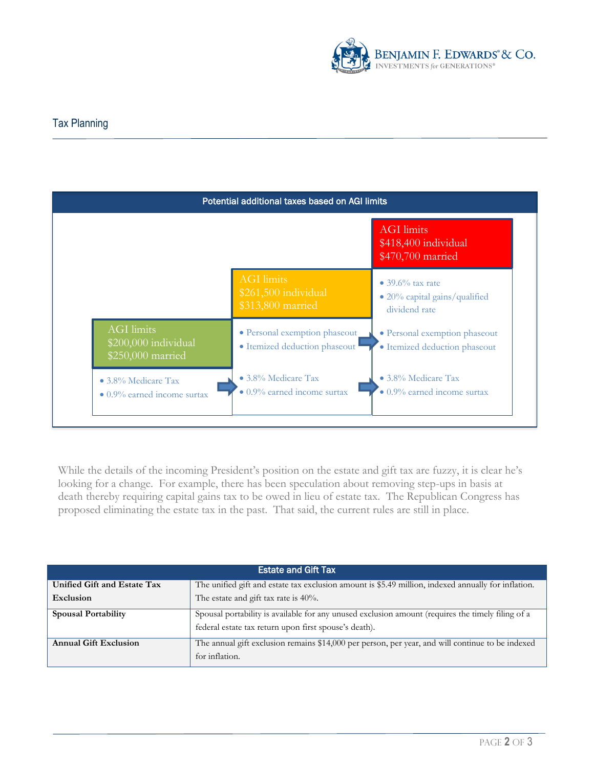

#### Tax Planning



While the details of the incoming President's position on the estate and gift tax are fuzzy, it is clear he's looking for a change. For example, there has been speculation about removing step-ups in basis at death thereby requiring capital gains tax to be owed in lieu of estate tax. The Republican Congress has proposed eliminating the estate tax in the past. That said, the current rules are still in place.

| <b>Estate and Gift Tax</b>   |                                                                                                     |
|------------------------------|-----------------------------------------------------------------------------------------------------|
| Unified Gift and Estate Tax  | The unified gift and estate tax exclusion amount is \$5.49 million, indexed annually for inflation. |
| Exclusion                    | The estate and gift tax rate is 40%.                                                                |
| <b>Spousal Portability</b>   | Spousal portability is available for any unused exclusion amount (requires the timely filing of a   |
|                              | federal estate tax return upon first spouse's death).                                               |
| <b>Annual Gift Exclusion</b> | The annual gift exclusion remains \$14,000 per person, per year, and will continue to be indexed    |
|                              | for inflation.                                                                                      |